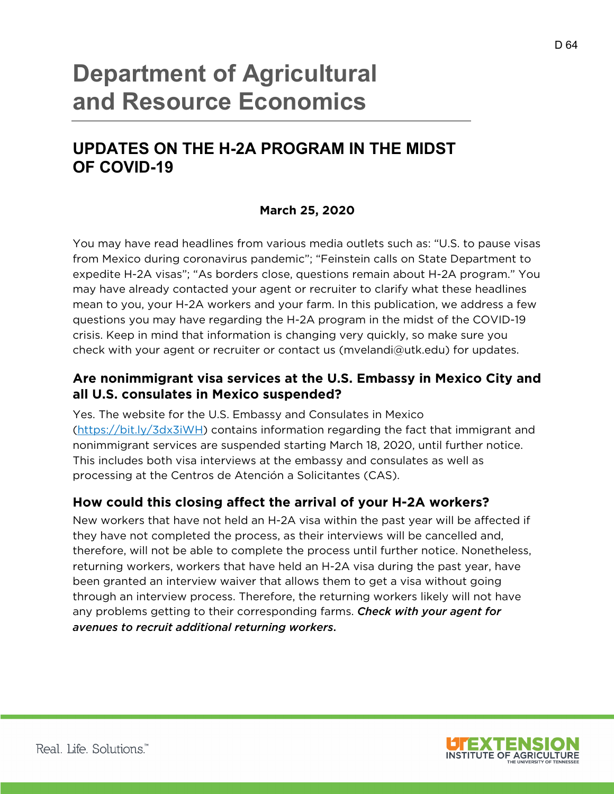# **Department of Agricultural and Resource Economics**

## **UPDATES ON THE H-2A PROGRAM IN THE MIDST OF COVID-19**

#### **March 25, 2020**

You may have read headlines from various media outlets such as: "U.S. to pause visas from Mexico during coronavirus pandemic"; "Feinstein calls on State Department to expedite H-2A visas"; "As borders close, questions remain about H-2A program." You may have already contacted your agent or recruiter to clarify what these headlines mean to you, your H-2A workers and your farm. In this publication, we address a few questions you may have regarding the H-2A program in the midst of the COVID-19 crisis. Keep in mind that information is changing very quickly, so make sure you check with your agent or recruiter or contact us (mvelandi@utk.edu) for updates.

#### **Are nonimmigrant visa services at the U.S. Embassy in Mexico City and all U.S. consulates in Mexico suspended?**

Yes. The website for the U.S. Embassy and Consulates in Mexico (https://bit.ly/3dx3iWH) contains information regarding the fact that immigrant and nonimmigrant services are suspended starting March 18, 2020, until further notice. This includes both visa interviews at the embassy and consulates as well as processing at the Centros de Atención a Solicitantes (CAS).

#### **How could this closing affect the arrival of your H-2A workers?**

New workers that have not held an H-2A visa within the past year will be affected if they have not completed the process, as their interviews will be cancelled and, therefore, will not be able to complete the process until further notice. Nonetheless, returning workers, workers that have held an H-2A visa during the past year, have been granted an interview waiver that allows them to get a visa without going through an interview process. Therefore, the returning workers likely will not have any problems getting to their corresponding farms. *Check with your agent for avenues to recruit additional returning workers*.

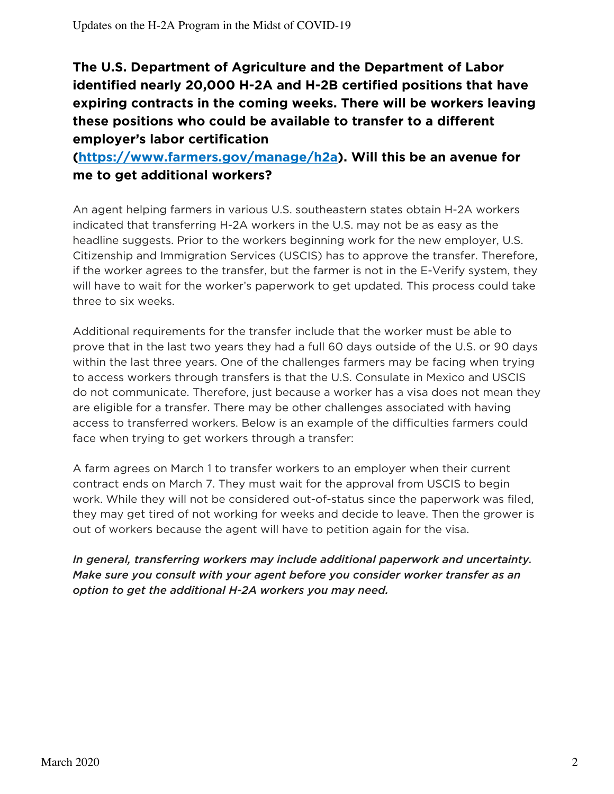**The U.S. Department of Agriculture and the Department of Labor identified nearly 20,000 H-2A and H-2B certified positions that have expiring contracts in the coming weeks. There will be workers leaving these positions who could be available to transfer to a different employer's labor certification** 

### **(https://www.farmers.gov/manage/h2a). Will this be an avenue for me to get additional workers?**

An agent helping farmers in various U.S. southeastern states obtain H-2A workers indicated that transferring H-2A workers in the U.S. may not be as easy as the headline suggests. Prior to the workers beginning work for the new employer, U.S. Citizenship and Immigration Services (USCIS) has to approve the transfer. Therefore, if the worker agrees to the transfer, but the farmer is not in the E-Verify system, they will have to wait for the worker's paperwork to get updated. This process could take three to six weeks.

Additional requirements for the transfer include that the worker must be able to prove that in the last two years they had a full 60 days outside of the U.S. or 90 days within the last three years. One of the challenges farmers may be facing when trying to access workers through transfers is that the U.S. Consulate in Mexico and USCIS do not communicate. Therefore, just because a worker has a visa does not mean they are eligible for a transfer. There may be other challenges associated with having access to transferred workers. Below is an example of the difficulties farmers could face when trying to get workers through a transfer:

A farm agrees on March 1 to transfer workers to an employer when their current contract ends on March 7. They must wait for the approval from USCIS to begin work. While they will not be considered out-of-status since the paperwork was filed, they may get tired of not working for weeks and decide to leave. Then the grower is out of workers because the agent will have to petition again for the visa.

*In general, transferring workers may include additional paperwork and uncertainty. Make sure you consult with your agent before you consider worker transfer as an option to get the additional H-2A workers you may need.*